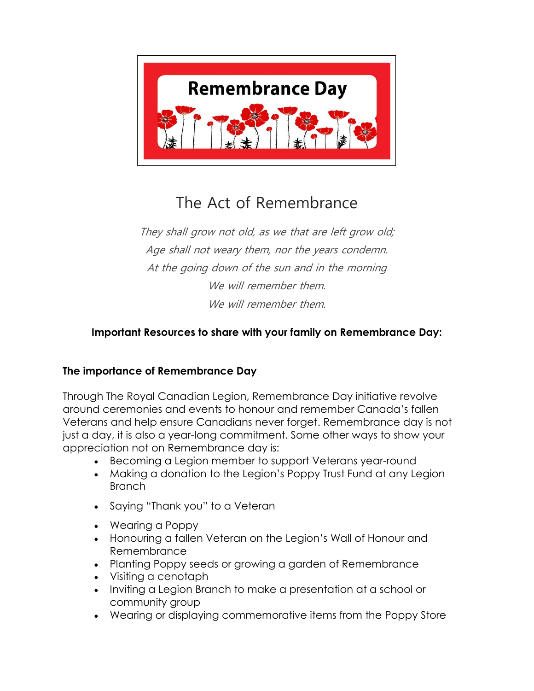

# The Act of Remembrance

They shall grow not old, as we that are left grow old; Age shall not weary them, nor the years condemn. At the going down of the sun and in the morning We will remember them. We will remember them.

# **Important Resources to share with your family on Remembrance Day:**

# **The importance of Remembrance Day**

Through The Royal Canadian Legion, Remembrance Day initiative revolve around ceremonies and events to honour and remember Canada's fallen Veterans and help ensure Canadians never forget. Remembrance day is not just a day, it is also a year-long commitment. Some other ways to show your appreciation not on Remembrance day is:

- [Becoming a Legion member](https://www.legion.ca/join-us) to support Veterans year-round
- Making a [donation](https://www.legion.ca/remembrance/the-poppy-campaign/donate-to-the-poppy-fund) to the Legion's Poppy Trust Fund at any Legion Branch
- Saying "Thank you" to a Veteran
- [Wearing a Poppy](https://www.legion.ca/remembrance/the-poppy/how-to-wear-a-poppy)
- Honouring a fallen Veteran on the [Legion's Wall of Honour and](https://www.legion.ca/remembrance/promoting-remembrance/virtual-wall-of-honour)  [Remembrance](https://www.legion.ca/remembrance/promoting-remembrance/virtual-wall-of-honour)
- Planting [Poppy seeds](https://www.poppystore.ca/youth-2/seeds-poppy-package-300631) or growing a garden of Remembrance
- Visiting a [cenotaph](https://www.legion.ca/remembrance/promoting-remembrance/memorials-and-cenotaphs)
- Inviting a [Legion Branch](https://www.legion.ca/contact-us/find-a-branch) to make a presentation at a school or community group
- Wearing or displaying commemorative items from the [Poppy Store](https://www.poppystore.ca/)